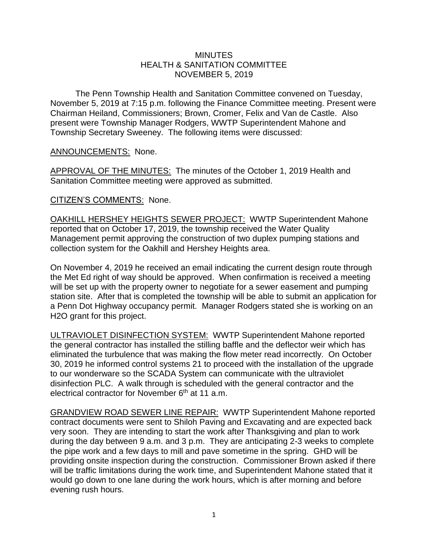## **MINUTES** HEALTH & SANITATION COMMITTEE NOVEMBER 5, 2019

The Penn Township Health and Sanitation Committee convened on Tuesday, November 5, 2019 at 7:15 p.m. following the Finance Committee meeting. Present were Chairman Heiland, Commissioners; Brown, Cromer, Felix and Van de Castle. Also present were Township Manager Rodgers, WWTP Superintendent Mahone and Township Secretary Sweeney. The following items were discussed:

## ANNOUNCEMENTS: None.

APPROVAL OF THE MINUTES: The minutes of the October 1, 2019 Health and Sanitation Committee meeting were approved as submitted.

## CITIZEN'S COMMENTS: None.

OAKHILL HERSHEY HEIGHTS SEWER PROJECT: WWTP Superintendent Mahone reported that on October 17, 2019, the township received the Water Quality Management permit approving the construction of two duplex pumping stations and collection system for the Oakhill and Hershey Heights area.

On November 4, 2019 he received an email indicating the current design route through the Met Ed right of way should be approved. When confirmation is received a meeting will be set up with the property owner to negotiate for a sewer easement and pumping station site. After that is completed the township will be able to submit an application for a Penn Dot Highway occupancy permit. Manager Rodgers stated she is working on an H2O grant for this project.

ULTRAVIOLET DISINFECTION SYSTEM: WWTP Superintendent Mahone reported the general contractor has installed the stilling baffle and the deflector weir which has eliminated the turbulence that was making the flow meter read incorrectly. On October 30, 2019 he informed control systems 21 to proceed with the installation of the upgrade to our wonderware so the SCADA System can communicate with the ultraviolet disinfection PLC. A walk through is scheduled with the general contractor and the electrical contractor for November  $6<sup>th</sup>$  at 11 a.m.

GRANDVIEW ROAD SEWER LINE REPAIR: WWTP Superintendent Mahone reported contract documents were sent to Shiloh Paving and Excavating and are expected back very soon. They are intending to start the work after Thanksgiving and plan to work during the day between 9 a.m. and 3 p.m. They are anticipating 2-3 weeks to complete the pipe work and a few days to mill and pave sometime in the spring. GHD will be providing onsite inspection during the construction. Commissioner Brown asked if there will be traffic limitations during the work time, and Superintendent Mahone stated that it would go down to one lane during the work hours, which is after morning and before evening rush hours.